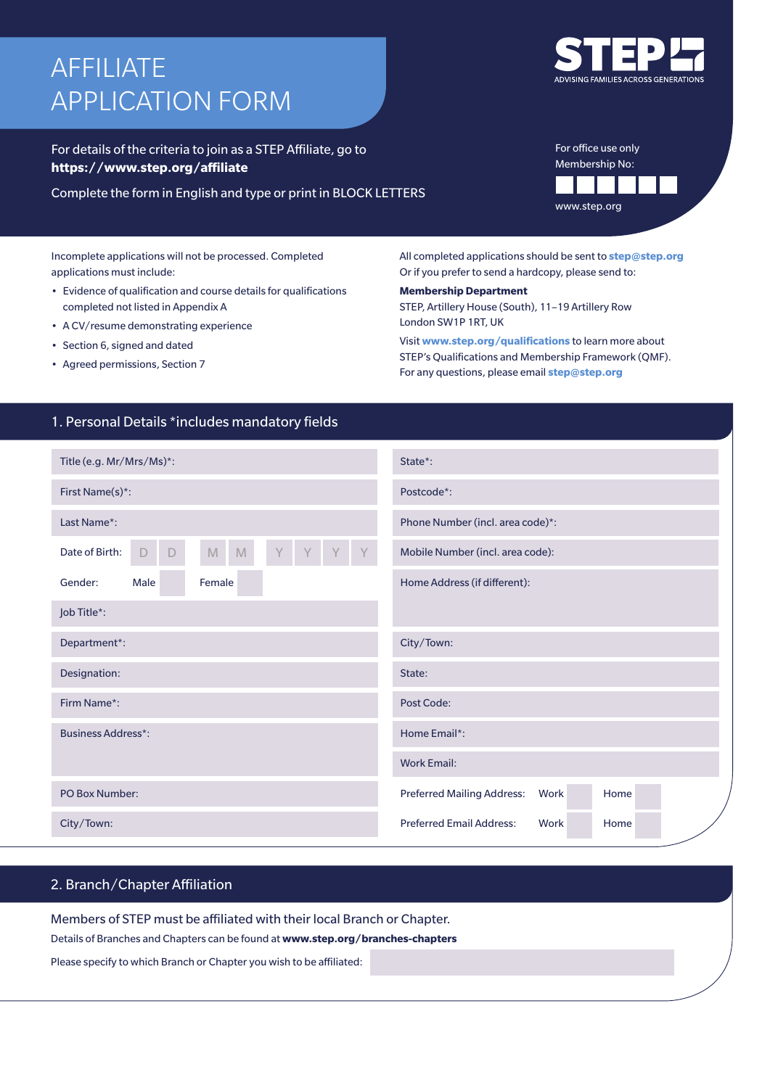# AFFILIATE APPLICATION FORM

For details of the criteria to join as a STEP Affiliate, go to **https://www.step.org/affiliate**

Complete the form in English and type or print in BLOCK LETTERS

Incomplete applications will not be processed. Completed applications must include:

- Evidence of qualification and course details for qualifications completed not listed in Appendix A
- A CV/resume demonstrating experience
- Section 6, signed and dated
- Agreed permissions, Section 7

All completed applications should be sent to **step@step.org** Or if you prefer to send a hardcopy, please send to:

**Membership Department** STEP, Artillery House (South), 11–19 Artillery Row London SW1P 1RT, UK

Visit **www.step.org/qualifications** to learn more about STEP's Qualifications and Membership Framework (QMF). For any questions, please email **step@step.org**

# 1. Personal Details \*includes mandatory fields

| Title (e.g. Mr/Mrs/Ms)*:                          | State*:                                           |  |  |  |  |
|---------------------------------------------------|---------------------------------------------------|--|--|--|--|
| First Name(s)*:                                   | Postcode*:                                        |  |  |  |  |
| Last Name*:                                       | Phone Number (incl. area code)*:                  |  |  |  |  |
| $\mathbb M$<br>Date of Birth:<br>$\mathbb M$<br>D | Mobile Number (incl. area code):                  |  |  |  |  |
| Male<br>Female<br>Gender:                         | Home Address (if different):                      |  |  |  |  |
| Job Title*:                                       |                                                   |  |  |  |  |
| Department*:                                      | City/Town:                                        |  |  |  |  |
| Designation:                                      | State:                                            |  |  |  |  |
| Firm Name*:                                       | Post Code:                                        |  |  |  |  |
| <b>Business Address*:</b>                         | Home Email*:                                      |  |  |  |  |
|                                                   | <b>Work Email:</b>                                |  |  |  |  |
| PO Box Number:                                    | <b>Preferred Mailing Address:</b><br>Work<br>Home |  |  |  |  |
| City/Town:                                        | <b>Preferred Email Address:</b><br>Work<br>Home   |  |  |  |  |

# 2. Branch/Chapter Affiliation

Members of STEP must be affiliated with their local Branch or Chapter.

Details of Branches and Chapters can be found at **www.step.org/branches-chapters**

Please specify to which Branch or Chapter you wish to be affiliated:



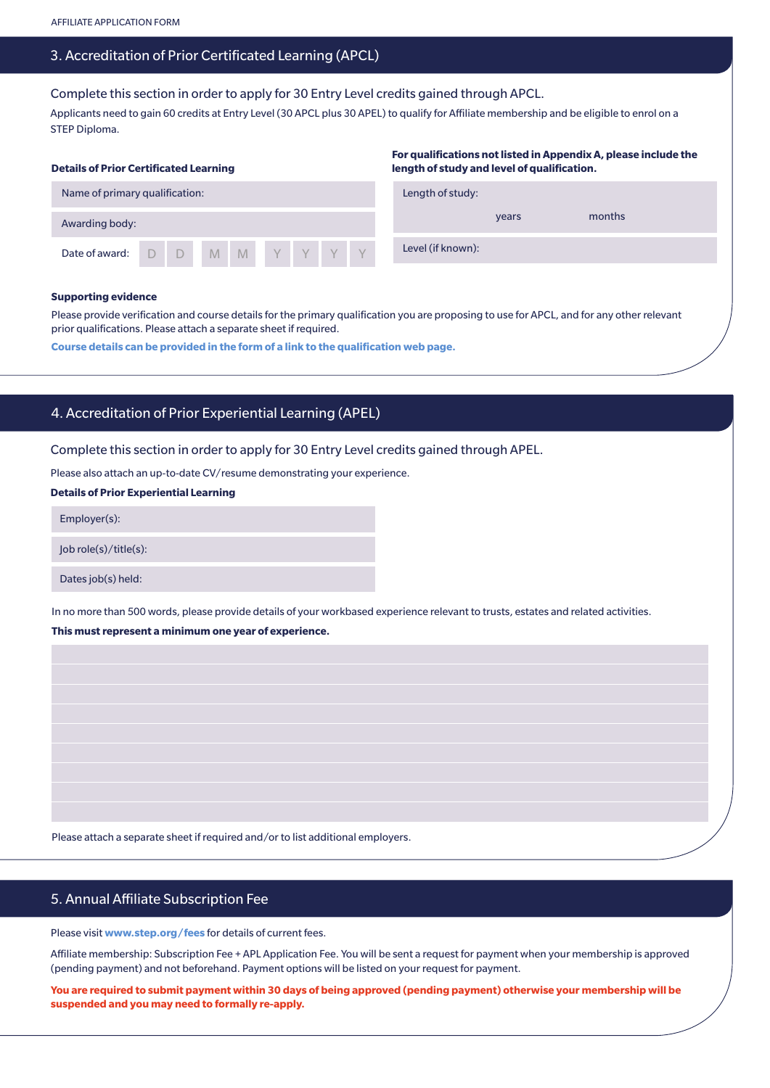## 3. Accreditation of Prior Certificated Learning (APCL)

Complete this section in order to apply for 30 Entry Level credits gained through APCL.

Applicants need to gain 60 credits at Entry Level (30 APCL plus 30 APEL) to qualify for Affiliate membership and be eligible to enrol on a STEP Diploma.

| <b>Details of Prior Certificated Learning</b> |  |  |  |  |  |  |                  | For qualifications not listed in Appendix A, please include the<br>length of study and level of qualification. |                   |        |  |  |  |
|-----------------------------------------------|--|--|--|--|--|--|------------------|----------------------------------------------------------------------------------------------------------------|-------------------|--------|--|--|--|
| Name of primary qualification:                |  |  |  |  |  |  | Length of study: |                                                                                                                |                   |        |  |  |  |
| Awarding body:                                |  |  |  |  |  |  |                  |                                                                                                                | years             | months |  |  |  |
| Date of award: D D M M Y Y Y Y Y              |  |  |  |  |  |  |                  |                                                                                                                | Level (if known): |        |  |  |  |

#### **Supporting evidence**

Please provide verification and course details for the primary qualification you are proposing to use for APCL, and for any other relevant prior qualifications. Please attach a separate sheet if required.

**Course details can be provided in the form of a link to the qualification web page.**

# 4. Accreditation of Prior Experiential Learning (APEL)

Complete this section in order to apply for 30 Entry Level credits gained through APEL.

Please also attach an up-to-date CV/resume demonstrating your experience.

## **Details of Prior Experiential Learning**

Employer(s):

Job role(s)/title(s):

Dates job(s) held:

In no more than 500 words, please provide details of your workbased experience relevant to trusts, estates and related activities. **This must represent a minimum one year of experience.**

Please attach a separate sheet if required and/or to list additional employers.

# 5. Annual Affiliate Subscription Fee

Please visit **www.step.org/fees** for details of current fees.

Affiliate membership: Subscription Fee + APL Application Fee. You will be sent a request for payment when your membership is approved (pending payment) and not beforehand. Payment options will be listed on your request for payment.

**You are required to submit payment within 30 days of being approved (pending payment) otherwise your membership will be suspended and you may need to formally re-apply.**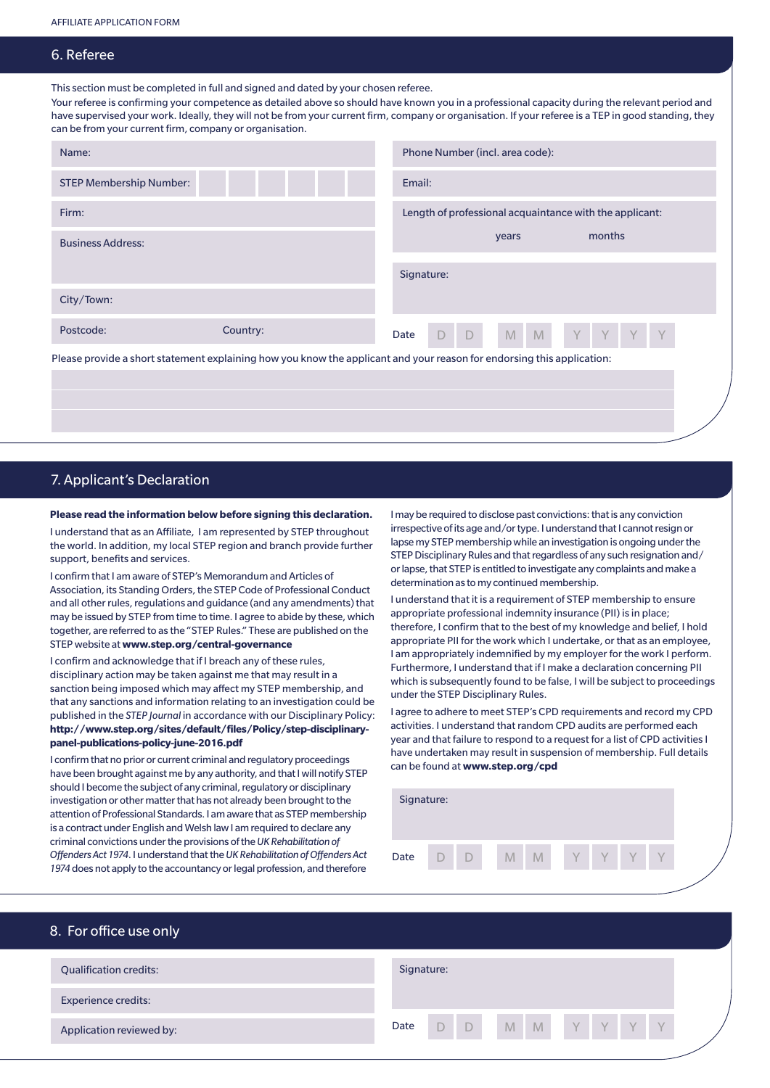## 6. Referee

This section must be completed in full and signed and dated by your chosen referee.

Your referee is confirming your competence as detailed above so should have known you in a professional capacity during the relevant period and have supervised your work. Ideally, they will not be from your current firm, company or organisation. If your referee is a TEP in good standing, they can be from your current firm, company or organisation.

| Name:                                                                                                                  |          | Phone Number (incl. area code):                               |  |  |  |
|------------------------------------------------------------------------------------------------------------------------|----------|---------------------------------------------------------------|--|--|--|
| <b>STEP Membership Number:</b>                                                                                         |          | Email:                                                        |  |  |  |
| Firm:                                                                                                                  |          | Length of professional acquaintance with the applicant:       |  |  |  |
| <b>Business Address:</b>                                                                                               |          | months<br>years                                               |  |  |  |
|                                                                                                                        |          | Signature:                                                    |  |  |  |
| City/Town:                                                                                                             |          |                                                               |  |  |  |
| Postcode:                                                                                                              | Country: | M<br>M<br>Y Y<br>$-D$<br>$\vee$<br><b>V</b><br>$\Box$<br>Date |  |  |  |
| Please provide a short statement explaining how you know the applicant and your reason for endorsing this application: |          |                                                               |  |  |  |

# 7. Applicant's Declaration

### **Please read the information below before signing this declaration.**

I understand that as an Affiliate, I am represented by STEP throughout the world. In addition, my local STEP region and branch provide further support, benefits and services.

I confirm that I am aware of STEP's Memorandum and Articles of Association, its Standing Orders, the STEP Code of Professional Conduct and all other rules, regulations and guidance (and any amendments) that may be issued by STEP from time to time. I agree to abide by these, which together, are referred to as the "STEP Rules." These are published on the STEP website at **www.step.org/central-governance**

I confirm and acknowledge that if I breach any of these rules, disciplinary action may be taken against me that may result in a sanction being imposed which may affect my STEP membership, and that any sanctions and information relating to an investigation could be published in the *STEP Journal* in accordance with our Disciplinary Policy: **http://www.step.org/sites/default/files/Policy/step-disciplinarypanel-publications-policy-june-2016.pdf**

I confirm that no prior or current criminal and regulatory proceedings have been brought against me by any authority, and that I will notify STEP should I become the subject of any criminal, regulatory or disciplinary investigation or other matter that has not already been brought to the attention of Professional Standards. I am aware that as STEP membership is a contract under English and Welsh law I am required to declare any criminal convictions under the provisions of the *UK Rehabilitation of Offenders Act 1974*. I understand that the *UK Rehabilitation of Offenders Act 1974* does not apply to the accountancy or legal profession, and therefore

I may be required to disclose past convictions: that is any conviction irrespective of its age and/or type. I understand that I cannot resign or lapse my STEP membership while an investigation is ongoing under the STEP Disciplinary Rules and that regardless of any such resignation and/ or lapse, that STEP is entitled to investigate any complaints and make a determination as to my continued membership.

I understand that it is a requirement of STEP membership to ensure appropriate professional indemnity insurance (PII) is in place; therefore, I confirm that to the best of my knowledge and belief, I hold appropriate PII for the work which I undertake, or that as an employee, I am appropriately indemnified by my employer for the work I perform. Furthermore, I understand that if I make a declaration concerning PII which is subsequently found to be false, I will be subject to proceedings under the STEP Disciplinary Rules.

I agree to adhere to meet STEP's CPD requirements and record my CPD activities. I understand that random CPD audits are performed each year and that failure to respond to a request for a list of CPD activities I have undertaken may result in suspension of membership. Full details can be found at **www.step.org/cpd**

| Signature: |  |   |  |   |   |   |   |
|------------|--|---|--|---|---|---|---|
| Date       |  | M |  | ٧ | Y | ٧ | Y |

| 8. For office use only        |                         |
|-------------------------------|-------------------------|
| <b>Qualification credits:</b> | Signature:              |
| <b>Experience credits:</b>    |                         |
| Application reviewed by:      | D D M M Y Y Y Y<br>Date |
|                               |                         |